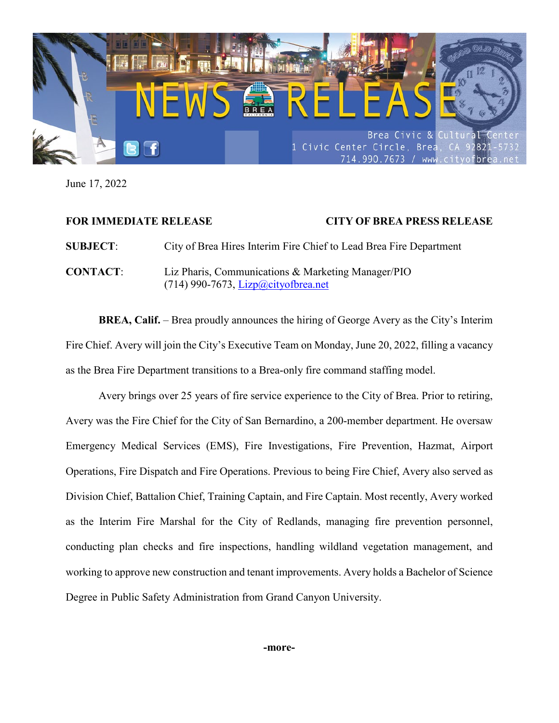

June 17, 2022

## **FOR IMMEDIATE RELEASE CITY OF BREA PRESS RELEASE**

**SUBJECT**: City of Brea Hires Interim Fire Chief to Lead Brea Fire Department **CONTACT**: Liz Pharis, Communications & Marketing Manager/PIO (714) 990-7673, [Lizp@cityofbrea.net](mailto:Lizp@cityofbrea.net)

**BREA, Calif.** – Brea proudly announces the hiring of George Avery as the City's Interim Fire Chief. Avery will join the City's Executive Team on Monday, June 20, 2022, filling a vacancy as the Brea Fire Department transitions to a Brea-only fire command staffing model.

Avery brings over 25 years of fire service experience to the City of Brea. Prior to retiring, Avery was the Fire Chief for the City of San Bernardino, a 200-member department. He oversaw Emergency Medical Services (EMS), Fire Investigations, Fire Prevention, Hazmat, Airport Operations, Fire Dispatch and Fire Operations. Previous to being Fire Chief, Avery also served as Division Chief, Battalion Chief, Training Captain, and Fire Captain. Most recently, Avery worked as the Interim Fire Marshal for the City of Redlands, managing fire prevention personnel, conducting plan checks and fire inspections, handling wildland vegetation management, and working to approve new construction and tenant improvements. Avery holds a Bachelor of Science Degree in Public Safety Administration from Grand Canyon University.